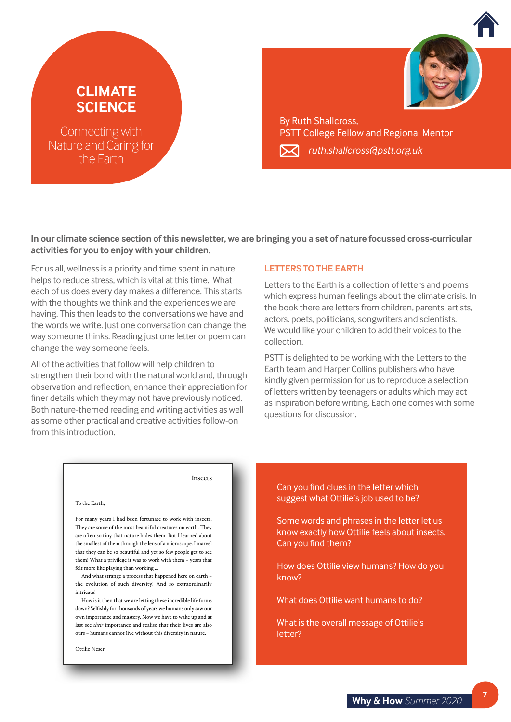# **CLIMATE SCIENCE**

Connecting with Nature and Caring for the Earth

By Ruth Shallcross, PSTT College Fellow and Regional Mentor *ruth.shallcros[s@pstt.org.uk](mailto:ruth.shallcross%40pstt.org.uk?subject=PSTT%20Newsletter%20Article)*

**In our climate science section of this newsletter, we are bringing you a set of nature focussed cross-curricular activities for you to enjoy with your children.**

For us all, wellness is a priority and time spent in nature helps to reduce stress, which is vital at this time. What each of us does every day makes a difference. This starts with the thoughts we think and the experiences we are having. This then leads to the conversations we have and the words we write. Just one conversation can change the way someone thinks. Reading just one letter or poem can change the way someone feels.

All of the activities that follow will help children to strengthen their bond with the natural world and, through observation and reflection, enhance their appreciation for finer details which they may not have previously noticed. Both nature-themed reading and writing activities as well as some other practical and creative activities follow-on from this introduction.

### **LETTERS TO THE EARTH**

Letters to the Earth is a collection of letters and poems which express human feelings about the climate crisis. In the book there are letters from children, parents, artists, actors, poets, politicians, songwriters and scientists. We would like your children to add their voices to the collection.

PSTT is delighted to be working with the Letters to the Earth team and Harper Collins publishers who have kindly given permission for us to reproduce a selection of letters written by teenagers or adults which may act as inspiration before writing. Each one comes with some questions for discussion.

#### Insects

For many years I had been fortunate to work with insects. They are some of the most beautiful creatures on earth. They are often so tiny that nature hides them. But I learned about the smallest of them through the lens of a microscope. I marvel that they can be so beautiful and yet so few people get to see them! What a privilege it was to work with them – years that

felt more like playing than working … And what strange a process that happened here on earth – the evolution of such diversity! And so extraordinarily intricate!

How is it then that we are letting these incredible life forms down? Selfishly for thousands of years we humans only saw our own importance and mastery. Now we have to wake up and at last see *their* importance and realise that their lives are also ours – humans cannot live without this diversity in nature.

Ottilie Neser

To the Earth,

Can you find clues in the letter which suggest what Ottilie's job used to be?

Some words and phrases in the letter let us know exactly how Ottilie feels about insects. Can you find them?

How does Ottilie view humans? How do you know?

What does Ottilie want humans to do?

What is the overall message of Ottilie's letter?

**<sup>7</sup> Why & How** *Summer 2020*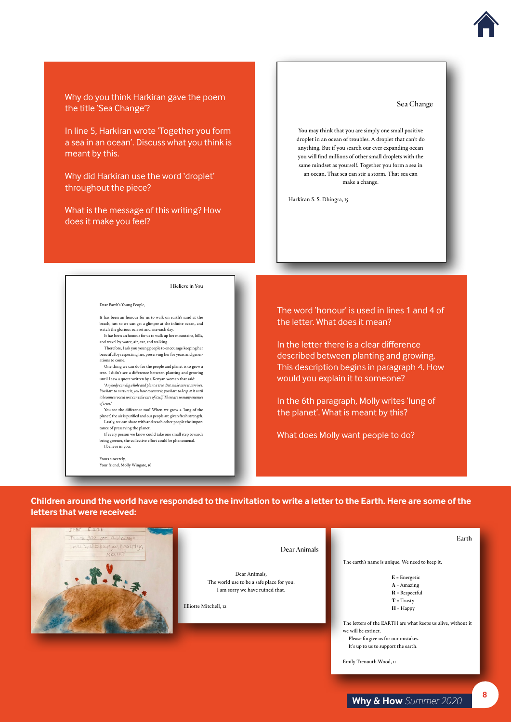



#### Children around the world have responded to the invitation to write a letter to the Earth. Here are some of the **letters that were received:**



Dear Animals

Dear Animals, The world use to be a safe place for you. I am sorry we have ruined that.

Elliotte Mitchell, 12

Earth

The earth's name is unique. We need to keep it.

- **E** = Energetic
- **A** = Amazing **R** = Respectful
- **T** = Trusty
- 
- **H** = Happy

The letters of the EARTH are what keeps us alive, without it we will be extinct. Please forgive us for our mistakes.

It's up to us to support the earth.

Emily Trenouth-Wood, <sup>11</sup>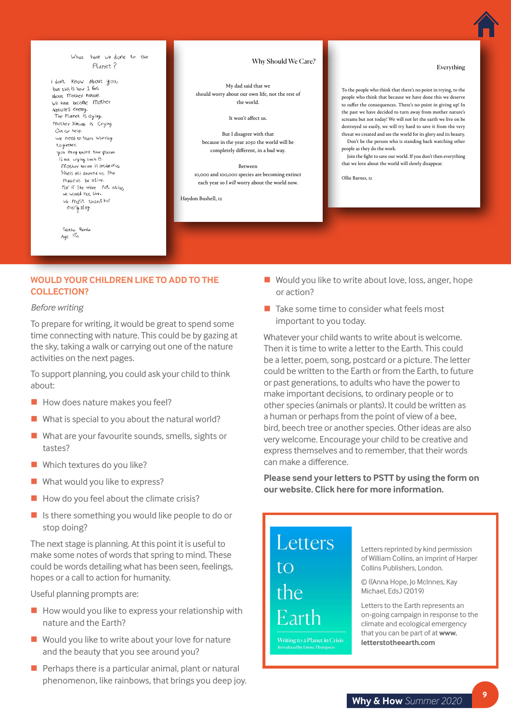What have no done to the Planet?

I don't know about you, but this is how I feel about. Mothey nature we have become Mother No none comme The Planet is dying. Mothev Nature is Crying Out for help. We need to Start Working together. you may think the planet .<br>IS noe-cryling buble IS Mother Macure is inside of us, Sheis all around us. She madeus be alive. For if She Were not alive, We Would hot Live. We must thank her every day

> Tabitha Ravula  $Age = 7\%$

#### Why Should We Care?

My dad said that we should worry about our own life, not the rest of the world.

It won't affect us.

But I disagree with that because in the year 2050 the world will be completely different, in a bad way.

Between 10,000 and 100,000 species are becoming extinct each year so I *will* worry about the world now.

Haydon Bushell, 12

To the people who think that there's no point in trying, to the people who think that because we have done this we deserve to suffer the consequences. There's no point in giving up! In the past we have decided to turn away from mother nature's screams but not today! We will not let the earth we live on be destroyed so easily, we will try hard to save it from the very threat we created and see the world for its glory and its beauty. Don't be the person who is standing back watching other

Everything

people as they do the work. Join the fight to save our world. If you don't then everything

that we love about the world will slowly disappear.

Ollie Barnes, 12

#### Letters.indd 72 etters **WOULD YOUR CHILDREN LIKE TO ADD TO THE**  .indd 18/09/2019 12:06 8/09/2019 **COLLECTION?**

#### *Before writing*

To prepare for writing, it would be great to spend some time connecting with nature. This could be by gazing at the sky, taking a walk or carrying out one of the nature activities on the next pages.

To support planning, you could ask your child to think about:

- $\blacksquare$  How does nature makes you feel?
- $\blacksquare$  What is special to you about the natural world?
- What are your favourite sounds, smells, sights or tastes?
- Which textures do you like?
- What would you like to express?
- $\blacksquare$  How do you feel about the climate crisis?
- Is there something you would like people to do or stop doing?

The next stage is planning. At this point it is useful to make some notes of words that spring to mind. These could be words detailing what has been seen, feelings, hopes or a call to action for humanity.

Useful planning prompts are:

- $\blacksquare$  How would you like to express your relationship with nature and the Earth?
- Would you like to write about your love for nature and the beauty that you see around you?
- $\blacksquare$  Perhaps there is a particular animal, plant or natural phenomenon, like rainbows, that brings you deep joy.
- Would you like to write about love, loss, anger, hope or action?
- important to you today. The same of the same of the same of the same of the same of the same of the same of the  $\blacksquare$  Take some time to consider what feels most

i could be by gazing at  $\hskip1cm$  Whatever your child wants to write about is welcome. Then it is time to write a letter to the Earth. This could be a letter, poem, song, postcard or a picture. The letter could be written to the Earth or from the Earth, to future or past generations, to adults who have the power to make important decisions, to ordinary people or to other species (animals or plants). It could be written as a human or perhaps from the point of view of a bee, bird, beech tree or another species. Other ideas are also very welcome. Encourage your child to be creative and express themselves and to remember, that their words can make a difference.

> **[Please send your letters to PSTT by using the form on](https://pstt.org.uk/what-we-do/why-how-newsletter/Letters-to-the-Earth)  [our website. Click here for more information.](https://pstt.org.uk/what-we-do/why-how-newsletter/Letters-to-the-Earth)**

| Letters<br>ĪО<br>the                                                         | Letters reprinted by kind permission<br>of William Collins, an imprint of Harper<br>Collins Publishers, London.<br>© ((Anna Hope, Jo McInnes, Kay<br>Michael, Eds.) (2019)<br>Letters to the Earth represents an |
|------------------------------------------------------------------------------|------------------------------------------------------------------------------------------------------------------------------------------------------------------------------------------------------------------|
| Earth<br><b>Writing to a Planet in Crisis</b><br>Introduced by Emma Thompson | on-going campaign in response to the<br>climate and ecological emergency<br>that you can be part of at www.<br>letterstotheearth.com                                                                             |

#### **<sup>9</sup> Why & How** *Summer 2020*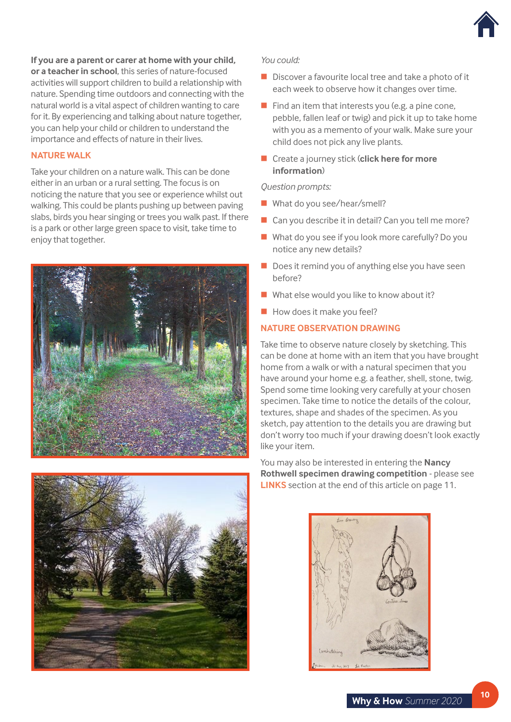

**If you are a parent or carer at home with your child, or a teacher in school**, this series of nature-focused activities will support children to build a relationship with nature. Spending time outdoors and connecting with the natural world is a vital aspect of children wanting to care for it. By experiencing and talking about nature together, you can help your child or children to understand the importance and effects of nature in their lives.

### **NATURE WALK**

Take your children on a nature walk. This can be done either in an urban or a rural setting. The focus is on noticing the nature that you see or experience whilst out walking. This could be plants pushing up between paving slabs, birds you hear singing or trees you walk past. If there is a park or other large green space to visit, take time to enjoy that together.



#### *You could:*

- Discover a favourite local tree and take a photo of it each week to observe how it changes over time.
- $\blacksquare$  Find an item that interests you (e.g. a pine cone, pebble, fallen leaf or twig) and pick it up to take home with you as a memento of your walk. Make sure your child does not pick any live plants.
- Create a journey stick (**click here for more [information](http://outdoorclassroomday.com/resource/journey-sticks/)**)

#### *Question prompts:*

- What do you see/hear/smell?
- Can you describe it in detail? Can you tell me more?
- What do you see if you look more carefully? Do you notice any new details?
- $\blacksquare$  Does it remind you of anything else you have seen before?
- $\blacksquare$  What else would you like to know about it?
- $\blacksquare$  How does it make you feel?

### **NATURE OBSERVATION DRAWING**

Take time to observe nature closely by sketching. This can be done at home with an item that you have brought home from a walk or with a natural specimen that you have around your home e.g. a feather, shell, stone, twig. Spend some time looking very carefully at your chosen specimen. Take time to notice the details of the colour, textures, shape and shades of the specimen. As you sketch, pay attention to the details you are drawing but don't worry too much if your drawing doesn't look exactly like your item.

You may also be interested in entering the **Nancy Rothwell specimen drawing competition** - please see **LINKS** section at the end of this article on page 11.